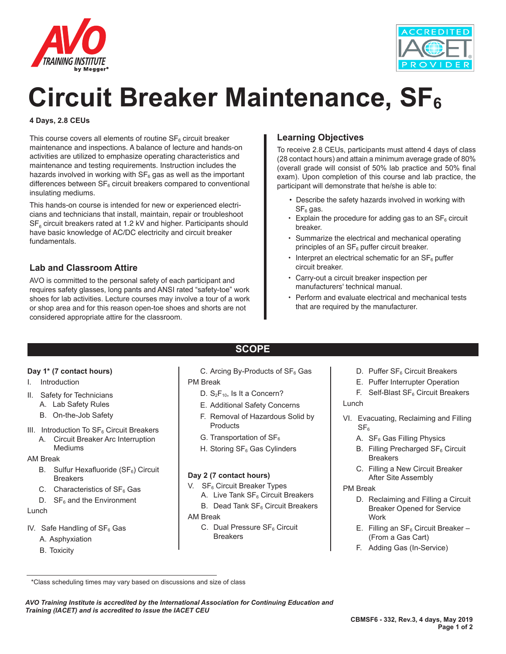



# **Circuit Breaker Maintenance, SF**<sub>6</sub>

#### **4 Days, 2.8 CEUs**

This course covers all elements of routine  $SF<sub>6</sub>$  circuit breaker maintenance and inspections. A balance of lecture and hands-on activities are utilized to emphasize operating characteristics and maintenance and testing requirements. Instruction includes the hazards involved in working with  $SF<sub>6</sub>$  gas as well as the important differences between  $SF<sub>6</sub>$  circuit breakers compared to conventional insulating mediums.

This hands-on course is intended for new or experienced electricians and technicians that install, maintain, repair or troubleshoot  $\text{SF}_{\scriptscriptstyle{6}}$  circuit breakers rated at 1.2 kV and higher. Participants should have basic knowledge of AC/DC electricity and circuit breaker fundamentals.

## **Lab and Classroom Attire**

AVO is committed to the personal safety of each participant and requires safety glasses, long pants and ANSI rated "safety-toe" work shoes for lab activities. Lecture courses may involve a tour of a work or shop area and for this reason open-toe shoes and shorts are not considered appropriate attire for the classroom.

## **Learning Objectives**

To receive 2.8 CEUs, participants must attend 4 days of class (28 contact hours) and attain a minimum average grade of 80% (overall grade will consist of 50% lab practice and 50% final exam). Upon completion of this course and lab practice, the participant will demonstrate that he/she is able to:

- Describe the safety hazards involved in working with  $SF<sub>6</sub>$  gas.
- $\cdot$  Explain the procedure for adding gas to an SF $_6$  circuit breaker.
- Summarize the electrical and mechanical operating principles of an SF<sub>6</sub> puffer circuit breaker.
- Interpret an electrical schematic for an  $SF<sub>6</sub>$  puffer circuit breaker.
- Carry-out a circuit breaker inspection per manufacturers' technical manual.
- Perform and evaluate electrical and mechanical tests that are required by the manufacturer.

#### **Day 1\* (7 contact hours)**

- I. Introduction
- II. Safety for Technicians
	- A. Lab Safety Rules
	- B. On-the-Job Safety
- III. Introduction To  $SF<sub>6</sub>$  Circuit Breakers
	- A. Circuit Breaker Arc Interruption Mediums

#### AM Break

- B. Sulfur Hexafluoride ( $SF<sub>6</sub>$ ) Circuit **Breakers**
- C. Characteristics of  $SF<sub>6</sub>$  Gas
- $D.$  SF<sub>6</sub> and the Environment

#### Lunch

- IV. Safe Handling of  $SF<sub>6</sub>$  Gas
	- A. Asphyxiation
	- B. Toxicity

C. Arcing By-Products of  $SF<sub>6</sub>$  Gas PM Break

**SCOPE**

- D.  $S_2F_{10}$ , Is It a Concern?
- E. Additional Safety Concerns
- 
- F. Removal of Hazardous Solid by **Products**
- G. Transportation of  $SF<sub>6</sub>$
- H. Storing SF<sub>6</sub> Gas Cylinders

#### **Day 2 (7 contact hours)**

- V.  $SF<sub>6</sub>$  Circuit Breaker Types
	- A. Live Tank  $SF_6$  Circuit Breakers B. Dead Tank SF<sub>6</sub> Circuit Breakers
- AM Break
	- C. Dual Pressure SF<sub>6</sub> Circuit **Breakers**
- D. Puffer SF<sub>6</sub> Circuit Breakers
- E. Puffer Interrupter Operation
- F. Self-Blast  $SF<sub>6</sub>$  Circuit Breakers Lunch
- VI. Evacuating, Reclaiming and Filling  $SF<sub>6</sub>$ 
	- A. SF<sub>6</sub> Gas Filling Physics
	- B. Filling Precharged SF<sub>6</sub> Circuit **Breakers**
	- C. Filling a New Circuit Breaker After Site Assembly

#### PM Break

- D. Reclaiming and Filling a Circuit Breaker Opened for Service Work
- E. Filling an  $SF_6$  Circuit Breaker (From a Gas Cart)
- F. Adding Gas (In-Service)

*AVO Training Institute is accredited by the International Association for Continuing Education and Training (IACET) and is accredited to issue the IACET CEU*

 <sup>\*</sup>Class scheduling times may vary based on discussions and size of class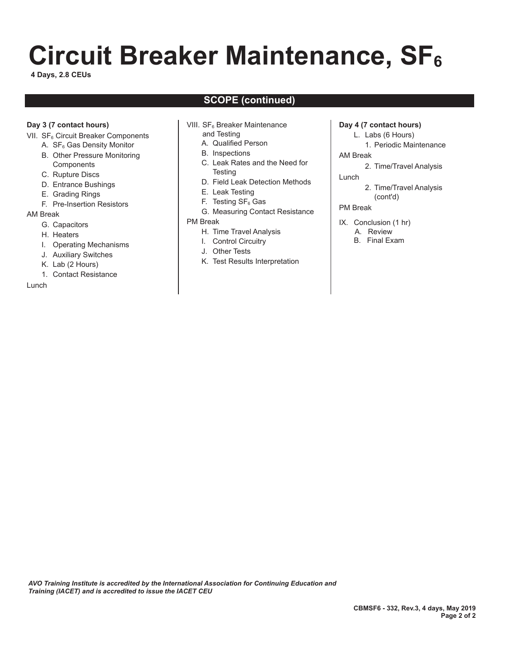# **Circuit Breaker Maintenance, SF**<sub>6</sub>

**4 Days, 2.8 CEUs**

# **SCOPE (continued)**

#### **Day 3 (7 contact hours)**

- VII. SF<sub>6</sub> Circuit Breaker Components
	- A.  $SF<sub>6</sub>$  Gas Density Monitor B. Other Pressure Monitoring
	- **Components**
	- C. Rupture Discs
	- D. Entrance Bushings
	- E. Grading Rings
	- F. Pre-Insertion Resistors

#### AM Break

- G. Capacitors
- H. Heaters
- I. Operating Mechanisms
- J. Auxiliary Switches
- K. Lab (2 Hours)
- 1. Contact Resistance

#### Lunch

- VIII. SF<sub>6</sub> Breaker Maintenance
	- and Testing
	- A. Qualified Person
	- B. Inspections
	- C. Leak Rates and the Need for **Testing**
	- D. Field Leak Detection Methods
	- E. Leak Testing
	- F. Testing  $SF<sub>6</sub>$  Gas
	- G. Measuring Contact Resistance

#### PM Break

- H. Time Travel Analysis
- I. Control Circuitry
- J. Other Tests
- K. Test Results Interpretation

#### **Day 4 (7 contact hours)**

- L. Labs (6 Hours)
- 1. Periodic Maintenance AM Break
- - 2. Time/Travel Analysis
- Lunch
	- 2. Time/Travel Analysis (cont'd)

#### PM Break

- IX. Conclusion (1 hr).
	- A. Review
	- B. Final Exam